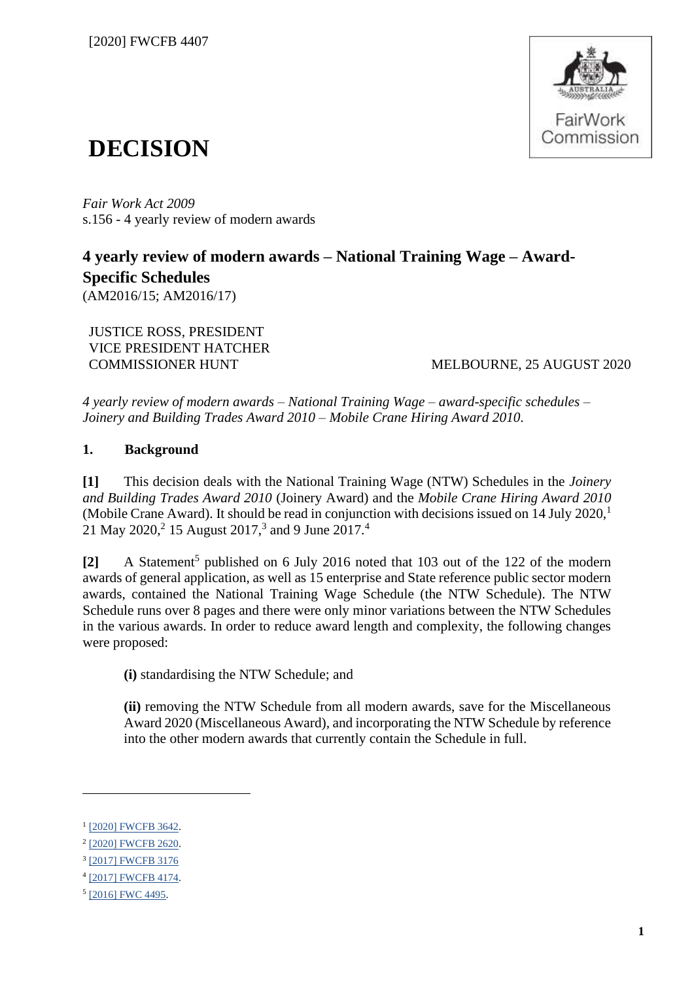

# **DECISION**

*Fair Work Act 2009*  s.156 - 4 yearly review of modern awards

# **4 yearly review of modern awards – National Training Wage – Award-Specific Schedules**

(AM2016/15; AM2016/17)

JUSTICE ROSS, PRESIDENT VICE PRESIDENT HATCHER

COMMISSIONER HUNT MELBOURNE, 25 AUGUST 2020

*4 yearly review of modern awards – National Training Wage – award-specific schedules – Joinery and Building Trades Award 2010 – Mobile Crane Hiring Award 2010.*

# **1. Background**

**[1]** This decision deals with the National Training Wage (NTW) Schedules in the *Joinery and Building Trades Award 2010* (Joinery Award) and the *Mobile Crane Hiring Award 2010* (Mobile Crane Award). It should be read in conjunction with decisions issued on 14 July 2020, $<sup>1</sup>$ </sup> 21 May 2020,<sup>2</sup> 15 August 2017,<sup>3</sup> and 9 June 2017.<sup>4</sup>

[2] A Statement<sup>5</sup> published on 6 July 2016 noted that 103 out of the 122 of the modern awards of general application, as well as 15 enterprise and State reference public sector modern awards, contained the National Training Wage Schedule (the NTW Schedule). The NTW Schedule runs over 8 pages and there were only minor variations between the NTW Schedules in the various awards. In order to reduce award length and complexity, the following changes were proposed:

**(i)** standardising the NTW Schedule; and

**(ii)** removing the NTW Schedule from all modern awards, save for the Miscellaneous Award 2020 (Miscellaneous Award)*,* and incorporating the NTW Schedule by reference into the other modern awards that currently contain the Schedule in full.

<sup>&</sup>lt;sup>1</sup> [\[2020\] FWCFB 3642.](https://www.fwc.gov.au/documents/decisionssigned/html/2020fwcfb3642.htm#P45_2295)

<sup>&</sup>lt;sup>2</sup> [\[2020\] FWCFB 2620.](https://www.fwc.gov.au/documents/decisionssigned/html/2020fwcfb2620.htm)

<sup>3</sup> [\[2017\] FWCFB 3176](http://www.fwc.gov.au/decisionssigned/html/2017fwcfb3176.htm)

<sup>4</sup> [\[2017\] FWCFB 4174.](https://www.fwc.gov.au/documents/decisionssigned/html/2017fwcfb4174.htm)

<sup>5</sup> [\[2016\] FWC 4495.](https://www.fwc.gov.au/documents/decisionssigned/html/2016fwc4495.htm)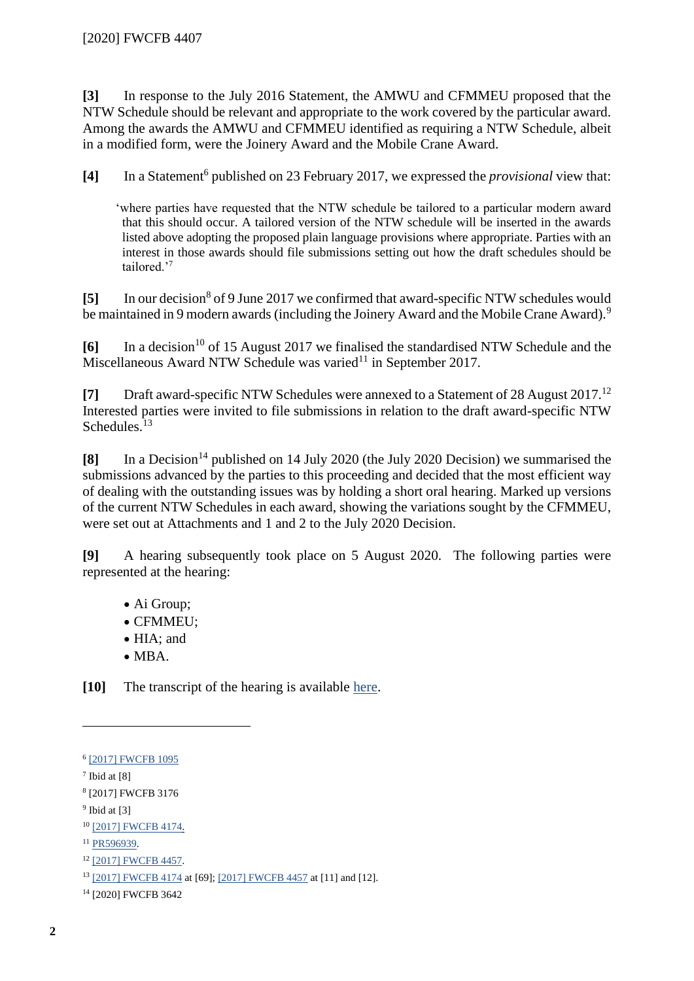**[3]** In response to the July 2016 Statement, the AMWU and CFMMEU proposed that the NTW Schedule should be relevant and appropriate to the work covered by the particular award. Among the awards the AMWU and CFMMEU identified as requiring a NTW Schedule, albeit in a modified form, were the Joinery Award and the Mobile Crane Award.

[4] In a Statement<sup>6</sup> published on 23 February 2017, we expressed the *provisional* view that:

'where parties have requested that the NTW schedule be tailored to a particular modern award that this should occur. A tailored version of the NTW schedule will be inserted in the awards listed above adopting the proposed plain language provisions where appropriate. Parties with an interest in those awards should file submissions setting out how the draft schedules should be tailored.'<sup>7</sup>

[5] In our decision<sup>8</sup> of 9 June 2017 we confirmed that award-specific NTW schedules would be maintained in 9 modern awards (including the Joinery Award and the Mobile Crane Award).<sup>9</sup>

[6] In a decision<sup>10</sup> of 15 August 2017 we finalised the standardised NTW Schedule and the Miscellaneous Award NTW Schedule was varied<sup>11</sup> in September 2017.

**[7]** Draft award-specific NTW Schedules were annexed to a Statement of 28 August 2017.<sup>12</sup> Interested parties were invited to file submissions in relation to the draft award-specific NTW Schedules.<sup>13</sup>

**[8]** In a Decision<sup>14</sup> published on 14 July 2020 (the July 2020 Decision) we summarised the submissions advanced by the parties to this proceeding and decided that the most efficient way of dealing with the outstanding issues was by holding a short oral hearing. Marked up versions of the current NTW Schedules in each award, showing the variations sought by the CFMMEU, were set out at Attachments and 1 and 2 to the July 2020 Decision.

**[9]** A hearing subsequently took place on 5 August 2020. The following parties were represented at the hearing:

- Ai Group;
- CFMMEU;
- HIA; and
- MBA.

**[10]** The transcript of the hearing is available [here.](https://www.fwc.gov.au/sites/awardsmodernfouryr/050820-am201617-15.htm)

<sup>9</sup> Ibid at [3]

<sup>6</sup> [\[2017\] FWCFB 1095](https://www.fwc.gov.au/documents/decisionssigned/html/2017fwcfb1095.htm)

<sup>7</sup> Ibid at [8]

<sup>8</sup> [2017] FWCFB 3176

<sup>10</sup> [\[2017\] FWCFB 4174.](https://www.fwc.gov.au/documents/decisionssigned/html/2017fwcfb4174.htm)

<sup>11</sup> [PR596939.](https://www.fwc.gov.au/documents/awardsandorders/html/pr596349.htm)

<sup>&</sup>lt;sup>12</sup> [\[2017\] FWCFB 4457.](https://www.fwc.gov.au/documents/decisionssigned/html/2017fwcfb4457.htm)

<sup>13</sup> [\[2017\] FWCFB 4174](https://www.fwc.gov.au/documents/decisionssigned/html/2017fwcfb4174.htm) at [69]; [\[2017\] FWCFB 4457](https://www.fwc.gov.au/documents/decisionssigned/html/2017fwcfb4457.htm) at [11] and [12].

<sup>14</sup> [2020] FWCFB 3642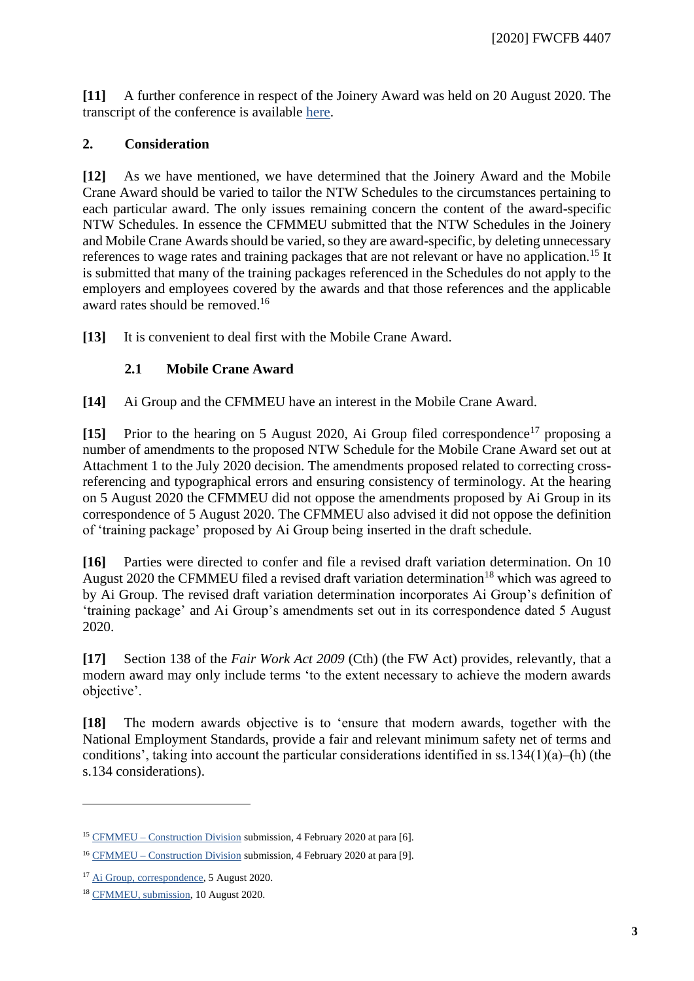**[11]** A further conference in respect of the Joinery Award was held on 20 August 2020. The transcript of the conference is available [here.](https://www.fwc.gov.au/documents/sites/awardsmodernfouryr/200820-am201617.htm)

### **2. Consideration**

**[12]** As we have mentioned, we have determined that the Joinery Award and the Mobile Crane Award should be varied to tailor the NTW Schedules to the circumstances pertaining to each particular award. The only issues remaining concern the content of the award-specific NTW Schedules. In essence the CFMMEU submitted that the NTW Schedules in the Joinery and Mobile Crane Awards should be varied, so they are award-specific, by deleting unnecessary references to wage rates and training packages that are not relevant or have no application.<sup>15</sup> It is submitted that many of the training packages referenced in the Schedules do not apply to the employers and employees covered by the awards and that those references and the applicable award rates should be removed.<sup>16</sup>

**[13]** It is convenient to deal first with the Mobile Crane Award.

# **2.1 Mobile Crane Award**

**[14]** Ai Group and the CFMMEU have an interest in the Mobile Crane Award.

**[15]** Prior to the hearing on 5 August 2020, Ai Group filed correspondence<sup>17</sup> proposing a number of amendments to the proposed NTW Schedule for the Mobile Crane Award set out at Attachment 1 to the July 2020 decision. The amendments proposed related to correcting crossreferencing and typographical errors and ensuring consistency of terminology. At the hearing on 5 August 2020 the CFMMEU did not oppose the amendments proposed by Ai Group in its correspondence of 5 August 2020. The CFMMEU also advised it did not oppose the definition of 'training package' proposed by Ai Group being inserted in the draft schedule.

**[16]** Parties were directed to confer and file a revised draft variation determination. On 10 August 2020 the CFMMEU filed a revised draft variation determination<sup>18</sup> which was agreed to by Ai Group. The revised draft variation determination incorporates Ai Group's definition of 'training package' and Ai Group's amendments set out in its correspondence dated 5 August 2020.

**[17]** Section 138 of the *Fair Work Act 2009* (Cth) (the FW Act) provides, relevantly, that a modern award may only include terms 'to the extent necessary to achieve the modern awards objective'.

**[18]** The modern awards objective is to 'ensure that modern awards, together with the National Employment Standards, provide a fair and relevant minimum safety net of terms and conditions', taking into account the particular considerations identified in ss.134(1)(a)–(h) (the s.134 considerations).

<sup>15</sup> CFMMEU – [Construction Division](https://www.fwc.gov.au/sites/awardsmodernfouryr/am201617-sub-cfmmeu-050220.pdf) submission, 4 February 2020 at para [6].

<sup>&</sup>lt;sup>16</sup> CFMMEU – [Construction Division](https://www.fwc.gov.au/sites/awardsmodernfouryr/am201617-sub-cfmmeu-050220.pdf) submission, 4 February 2020 at para [9].

<sup>&</sup>lt;sup>17</sup> [Ai Group, correspondence,](https://www.fwc.gov.au/sites/awardsmodernfouryr/am201617-15-sub-aig-050820.pdf) 5 August 2020.

<sup>18</sup> [CFMMEU, submission,](https://www.fwc.gov.au/documents/sites/awardsmodernfouryr/am201617-sub-cfmmeu-100820.pdf) 10 August 2020.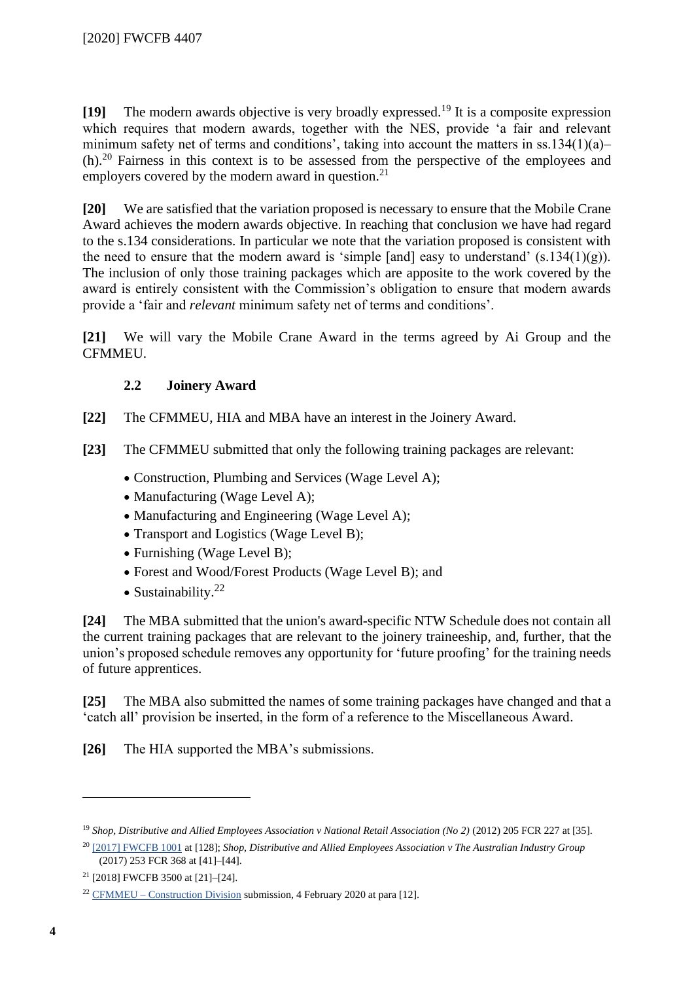**[19]** The modern awards objective is very broadly expressed.<sup>19</sup> It is a composite expression which requires that modern awards, together with the NES, provide 'a fair and relevant minimum safety net of terms and conditions', taking into account the matters in ss.134(1)(a)– (h).<sup>20</sup> Fairness in this context is to be assessed from the perspective of the employees and employers covered by the modern award in question.<sup>21</sup>

**[20]** We are satisfied that the variation proposed is necessary to ensure that the Mobile Crane Award achieves the modern awards objective. In reaching that conclusion we have had regard to the s.134 considerations. In particular we note that the variation proposed is consistent with the need to ensure that the modern award is 'simple [and] easy to understand'  $(s.134(1)(g))$ . The inclusion of only those training packages which are apposite to the work covered by the award is entirely consistent with the Commission's obligation to ensure that modern awards provide a 'fair and *relevant* minimum safety net of terms and conditions'.

**[21]** We will vary the Mobile Crane Award in the terms agreed by Ai Group and the CFMMEU.

## **2.2 Joinery Award**

- **[22]** The CFMMEU, HIA and MBA have an interest in the Joinery Award.
- **[23]** The CFMMEU submitted that only the following training packages are relevant:
	- Construction, Plumbing and Services (Wage Level A);
	- Manufacturing (Wage Level A);
	- Manufacturing and Engineering (Wage Level A);
	- Transport and Logistics (Wage Level B);
	- Furnishing (Wage Level B);
	- Forest and Wood/Forest Products (Wage Level B); and
	- Sustainability.<sup>22</sup>

**[24]** The MBA submitted that the union's award-specific NTW Schedule does not contain all the current training packages that are relevant to the joinery traineeship, and, further, that the union's proposed schedule removes any opportunity for 'future proofing' for the training needs of future apprentices.

**[25]** The MBA also submitted the names of some training packages have changed and that a 'catch all' provision be inserted, in the form of a reference to the Miscellaneous Award.

**[26]** The HIA supported the MBA's submissions.

<sup>19</sup> *Shop, Distributive and Allied Employees Association v National Retail Association (No 2)* (2012) 205 FCR 227 at [35].

<sup>20</sup> [\[2017\] FWCFB 1001](http://www.fwc.gov.au/decisionssigned/html/2017fwcfb1001.htm) at [128]; *Shop, Distributive and Allied Employees Association v The Australian Industry Group* (2017) 253 FCR 368 at [41]–[44].

<sup>21</sup> [2018] FWCFB 3500 at [21]–[24].

 $22$  CFMMEU – [Construction Division](https://www.fwc.gov.au/sites/awardsmodernfouryr/am201617-sub-cfmmeu-050220.pdf) submission, 4 February 2020 at para [12].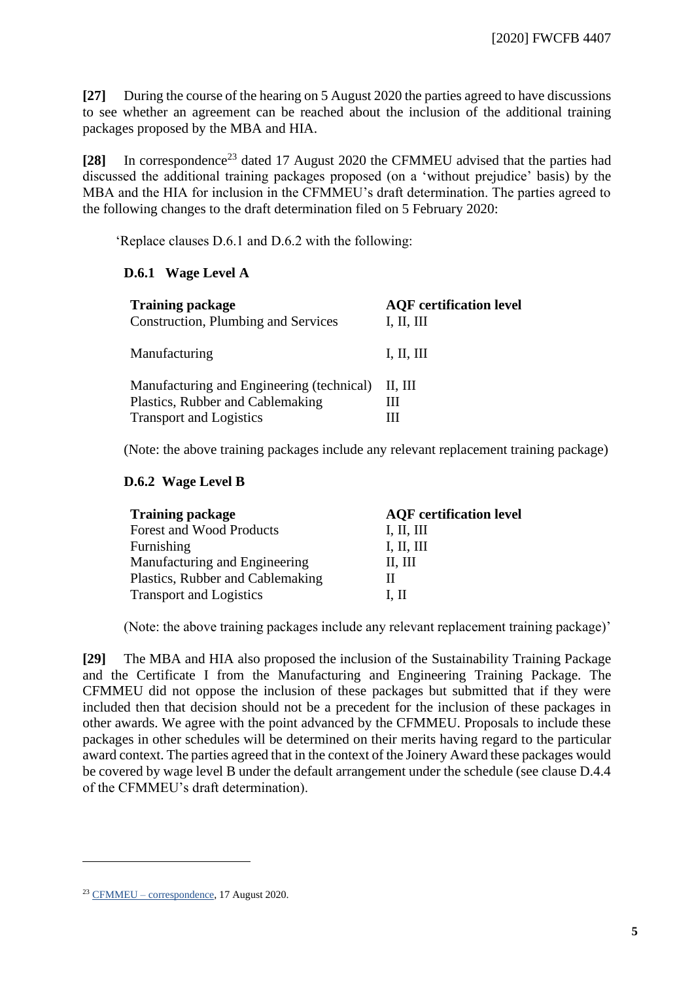**[27]** During the course of the hearing on 5 August 2020 the parties agreed to have discussions to see whether an agreement can be reached about the inclusion of the additional training packages proposed by the MBA and HIA.

[28] In correspondence<sup>23</sup> dated 17 August 2020 the CFMMEU advised that the parties had discussed the additional training packages proposed (on a 'without prejudice' basis) by the MBA and the HIA for inclusion in the CFMMEU's draft determination. The parties agreed to the following changes to the draft determination filed on 5 February 2020:

'Replace clauses D.6.1 and D.6.2 with the following:

#### **D.6.1 Wage Level A**

| <b>Training package</b><br><b>Construction, Plumbing and Services</b>                                           | <b>AQF</b> certification level<br>I, II, III |
|-----------------------------------------------------------------------------------------------------------------|----------------------------------------------|
| Manufacturing                                                                                                   | I, II, III                                   |
| Manufacturing and Engineering (technical)<br>Plastics, Rubber and Cablemaking<br><b>Transport and Logistics</b> | Н, Ш<br>Ш                                    |

(Note: the above training packages include any relevant replacement training package)

#### **D.6.2 Wage Level B**

| <b>Training package</b>          | <b>AQF</b> certification level |
|----------------------------------|--------------------------------|
| Forest and Wood Products         | I, II, III                     |
| Furnishing                       | I, II, III                     |
| Manufacturing and Engineering    | II, III                        |
| Plastics, Rubber and Cablemaking |                                |
| <b>Transport and Logistics</b>   | I, II                          |

(Note: the above training packages include any relevant replacement training package)'

**[29]** The MBA and HIA also proposed the inclusion of the Sustainability Training Package and the Certificate I from the Manufacturing and Engineering Training Package. The CFMMEU did not oppose the inclusion of these packages but submitted that if they were included then that decision should not be a precedent for the inclusion of these packages in other awards. We agree with the point advanced by the CFMMEU. Proposals to include these packages in other schedules will be determined on their merits having regard to the particular award context. The parties agreed that in the context of the Joinery Award these packages would be covered by wage level B under the default arrangement under the schedule (see clause D.4.4 of the CFMMEU's draft determination).

<sup>23</sup> CFMMEU – [correspondence,](https://www.fwc.gov.au/sites/awardsmodernfouryr/am201617-15-sub-cfmmeu-170820.pdf) 17 August 2020.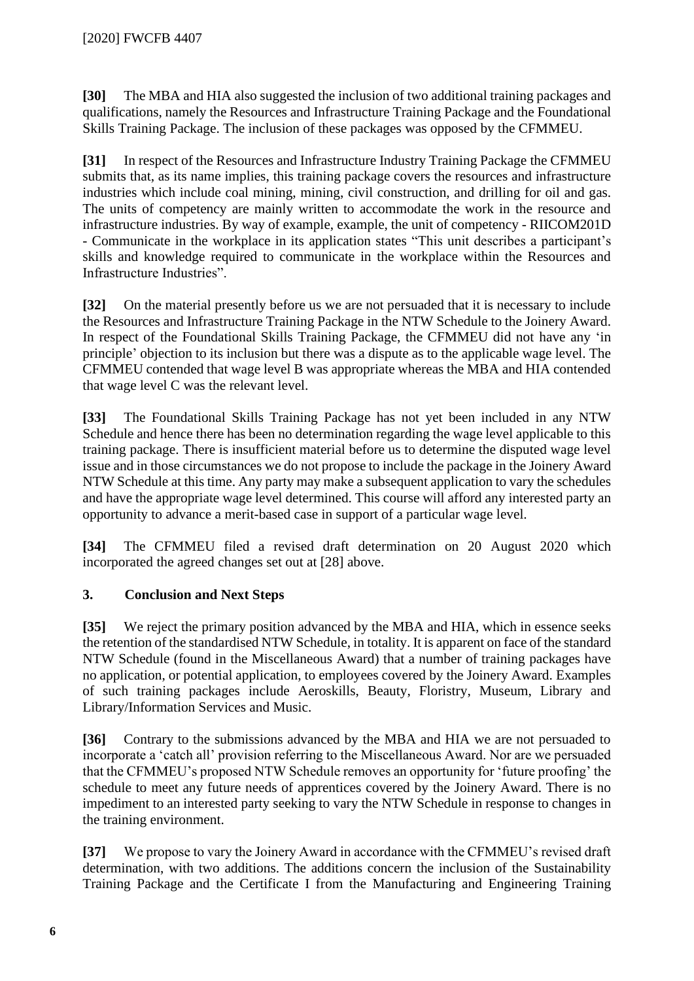**[30]** The MBA and HIA also suggested the inclusion of two additional training packages and qualifications, namely the Resources and Infrastructure Training Package and the Foundational Skills Training Package. The inclusion of these packages was opposed by the CFMMEU.

**[31]** In respect of the Resources and Infrastructure Industry Training Package the CFMMEU submits that, as its name implies, this training package covers the resources and infrastructure industries which include coal mining, mining, civil construction, and drilling for oil and gas. The units of competency are mainly written to accommodate the work in the resource and infrastructure industries. By way of example, example, the unit of competency - RIICOM201D - Communicate in the workplace in its application states "This unit describes a participant's skills and knowledge required to communicate in the workplace within the Resources and Infrastructure Industries".

**[32]** On the material presently before us we are not persuaded that it is necessary to include the Resources and Infrastructure Training Package in the NTW Schedule to the Joinery Award. In respect of the Foundational Skills Training Package, the CFMMEU did not have any 'in principle' objection to its inclusion but there was a dispute as to the applicable wage level. The CFMMEU contended that wage level B was appropriate whereas the MBA and HIA contended that wage level C was the relevant level.

**[33]** The Foundational Skills Training Package has not yet been included in any NTW Schedule and hence there has been no determination regarding the wage level applicable to this training package. There is insufficient material before us to determine the disputed wage level issue and in those circumstances we do not propose to include the package in the Joinery Award NTW Schedule at this time. Any party may make a subsequent application to vary the schedules and have the appropriate wage level determined. This course will afford any interested party an opportunity to advance a merit-based case in support of a particular wage level.

**[34]** The CFMMEU filed a revised draft determination on 20 August 2020 which incorporated the agreed changes set out at [28] above.

# **3. Conclusion and Next Steps**

**[35]** We reject the primary position advanced by the MBA and HIA, which in essence seeks the retention of the standardised NTW Schedule, in totality. It is apparent on face of the standard NTW Schedule (found in the Miscellaneous Award) that a number of training packages have no application, or potential application, to employees covered by the Joinery Award. Examples of such training packages include Aeroskills, Beauty, Floristry, Museum, Library and Library/Information Services and Music.

**[36]** Contrary to the submissions advanced by the MBA and HIA we are not persuaded to incorporate a 'catch all' provision referring to the Miscellaneous Award. Nor are we persuaded that the CFMMEU's proposed NTW Schedule removes an opportunity for 'future proofing' the schedule to meet any future needs of apprentices covered by the Joinery Award. There is no impediment to an interested party seeking to vary the NTW Schedule in response to changes in the training environment.

**[37]** We propose to vary the Joinery Award in accordance with the CFMMEU's revised draft determination, with two additions. The additions concern the inclusion of the Sustainability Training Package and the Certificate I from the Manufacturing and Engineering Training